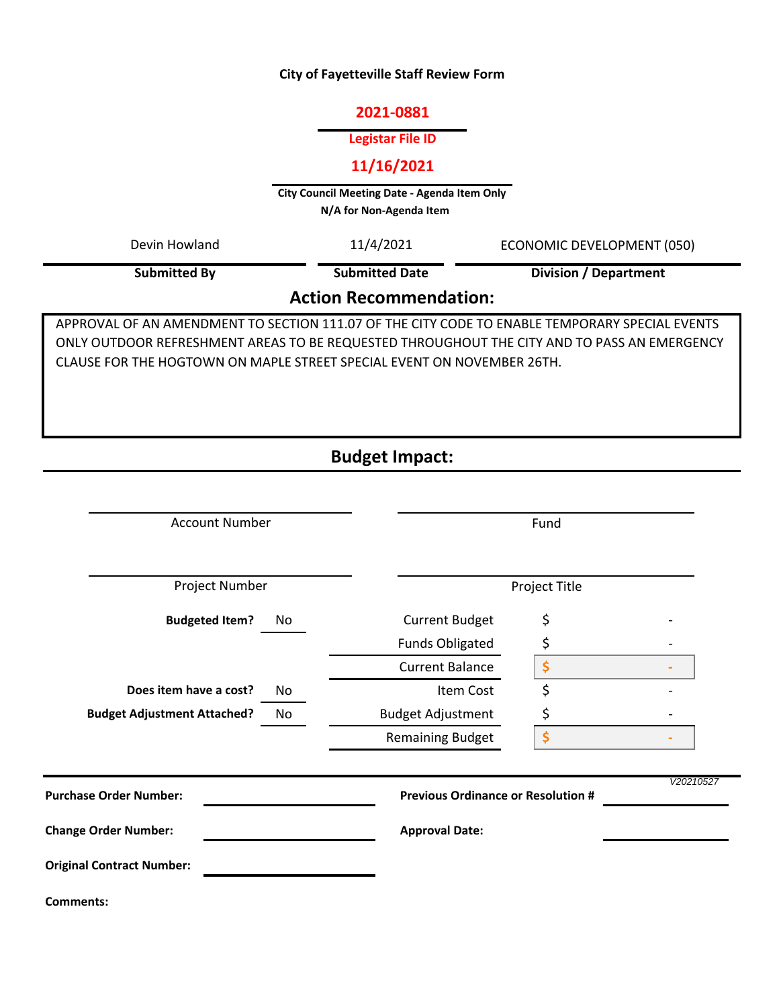#### **City of Fayetteville Staff Review Form**

#### **2021-0881**

#### **Legistar File ID**

## **11/16/2021**

**City Council Meeting Date - Agenda Item Only N/A for Non-Agenda Item** 

11/4/2021 **Submitted By** Devin Howland 11/4/2021 ECONOMIC DEVELOPMENT (050) **Division / Department**

**Submitted Date**

## **Action Recommendation:**

APPROVAL OF AN AMENDMENT TO SECTION 111.07 OF THE CITY CODE TO ENABLE TEMPORARY SPECIAL EVENTS ONLY OUTDOOR REFRESHMENT AREAS TO BE REQUESTED THROUGHOUT THE CITY AND TO PASS AN EMERGENCY CLAUSE FOR THE HOGTOWN ON MAPLE STREET SPECIAL EVENT ON NOVEMBER 26TH.

# **Budget Impact:**

| <b>Account Number</b>              |     | Fund                                      |    |           |
|------------------------------------|-----|-------------------------------------------|----|-----------|
| Project Number                     |     | Project Title                             |    |           |
| <b>Budgeted Item?</b>              | No. | <b>Current Budget</b>                     | \$ |           |
|                                    |     | <b>Funds Obligated</b>                    | \$ |           |
|                                    |     | <b>Current Balance</b>                    | \$ |           |
| Does item have a cost?             | No  | Item Cost                                 | \$ |           |
| <b>Budget Adjustment Attached?</b> | No  | <b>Budget Adjustment</b>                  | \$ |           |
|                                    |     | <b>Remaining Budget</b>                   | \$ |           |
| <b>Purchase Order Number:</b>      |     | <b>Previous Ordinance or Resolution #</b> |    | V20210527 |
| <b>Change Order Number:</b>        |     | <b>Approval Date:</b>                     |    |           |
| <b>Original Contract Number:</b>   |     |                                           |    |           |
| <b>Comments:</b>                   |     |                                           |    |           |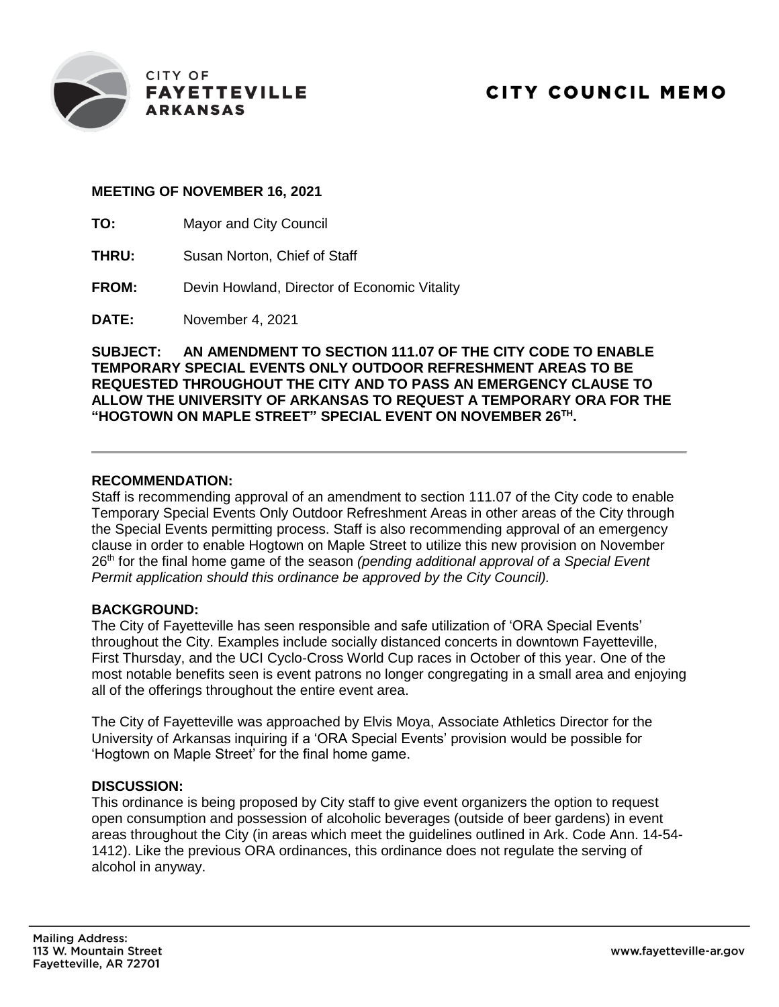

### **MEETING OF NOVEMBER 16, 2021**

- **TO:** Mayor and City Council
- **THRU:** Susan Norton, Chief of Staff
- **FROM:** Devin Howland, Director of Economic Vitality

**DATE:** November 4, 2021

**SUBJECT: AN AMENDMENT TO SECTION 111.07 OF THE CITY CODE TO ENABLE TEMPORARY SPECIAL EVENTS ONLY OUTDOOR REFRESHMENT AREAS TO BE REQUESTED THROUGHOUT THE CITY AND TO PASS AN EMERGENCY CLAUSE TO ALLOW THE UNIVERSITY OF ARKANSAS TO REQUEST A TEMPORARY ORA FOR THE "HOGTOWN ON MAPLE STREET" SPECIAL EVENT ON NOVEMBER 26TH .**

### **RECOMMENDATION:**

Staff is recommending approval of an amendment to section 111.07 of the City code to enable Temporary Special Events Only Outdoor Refreshment Areas in other areas of the City through the Special Events permitting process. Staff is also recommending approval of an emergency clause in order to enable Hogtown on Maple Street to utilize this new provision on November 26<sup>th</sup> for the final home game of the season *(pending additional approval of a Special Event Permit application should this ordinance be approved by the City Council).*

#### **BACKGROUND:**

The City of Fayetteville has seen responsible and safe utilization of 'ORA Special Events' throughout the City. Examples include socially distanced concerts in downtown Fayetteville, First Thursday, and the UCI Cyclo-Cross World Cup races in October of this year. One of the most notable benefits seen is event patrons no longer congregating in a small area and enjoying all of the offerings throughout the entire event area.

The City of Fayetteville was approached by Elvis Moya, Associate Athletics Director for the University of Arkansas inquiring if a 'ORA Special Events' provision would be possible for 'Hogtown on Maple Street' for the final home game.

#### **DISCUSSION:**

This ordinance is being proposed by City staff to give event organizers the option to request open consumption and possession of alcoholic beverages (outside of beer gardens) in event areas throughout the City (in areas which meet the guidelines outlined in Ark. Code Ann. 14-54- 1412). Like the previous ORA ordinances, this ordinance does not regulate the serving of alcohol in anyway.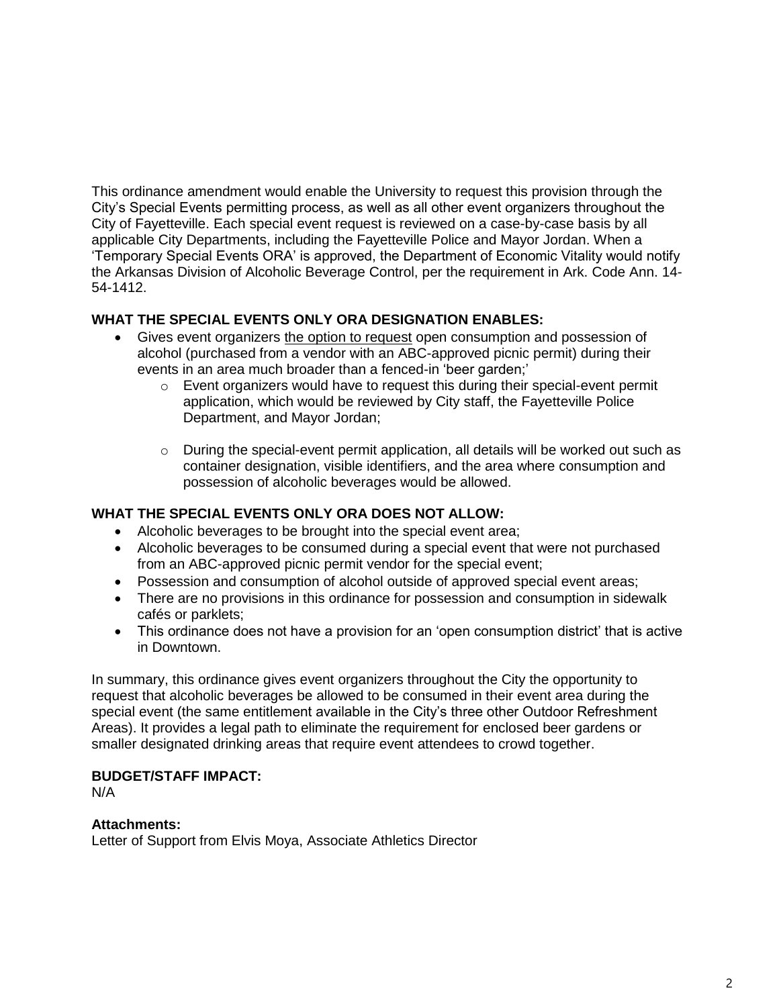This ordinance amendment would enable the University to request this provision through the City's Special Events permitting process, as well as all other event organizers throughout the City of Fayetteville. Each special event request is reviewed on a case-by-case basis by all applicable City Departments, including the Fayetteville Police and Mayor Jordan. When a 'Temporary Special Events ORA' is approved, the Department of Economic Vitality would notify the Arkansas Division of Alcoholic Beverage Control, per the requirement in Ark. Code Ann. 14- 54-1412.

## **WHAT THE SPECIAL EVENTS ONLY ORA DESIGNATION ENABLES:**

- Gives event organizers the option to request open consumption and possession of alcohol (purchased from a vendor with an ABC-approved picnic permit) during their events in an area much broader than a fenced-in 'beer garden;'
	- o Event organizers would have to request this during their special-event permit application, which would be reviewed by City staff, the Fayetteville Police Department, and Mayor Jordan;
	- $\circ$  During the special-event permit application, all details will be worked out such as container designation, visible identifiers, and the area where consumption and possession of alcoholic beverages would be allowed.

## **WHAT THE SPECIAL EVENTS ONLY ORA DOES NOT ALLOW:**

- Alcoholic beverages to be brought into the special event area;
- Alcoholic beverages to be consumed during a special event that were not purchased from an ABC-approved picnic permit vendor for the special event;
- Possession and consumption of alcohol outside of approved special event areas;
- There are no provisions in this ordinance for possession and consumption in sidewalk cafés or parklets;
- This ordinance does not have a provision for an 'open consumption district' that is active in Downtown.

In summary, this ordinance gives event organizers throughout the City the opportunity to request that alcoholic beverages be allowed to be consumed in their event area during the special event (the same entitlement available in the City's three other Outdoor Refreshment Areas). It provides a legal path to eliminate the requirement for enclosed beer gardens or smaller designated drinking areas that require event attendees to crowd together.

## **BUDGET/STAFF IMPACT:**

N/A

## **Attachments:**

Letter of Support from Elvis Moya, Associate Athletics Director